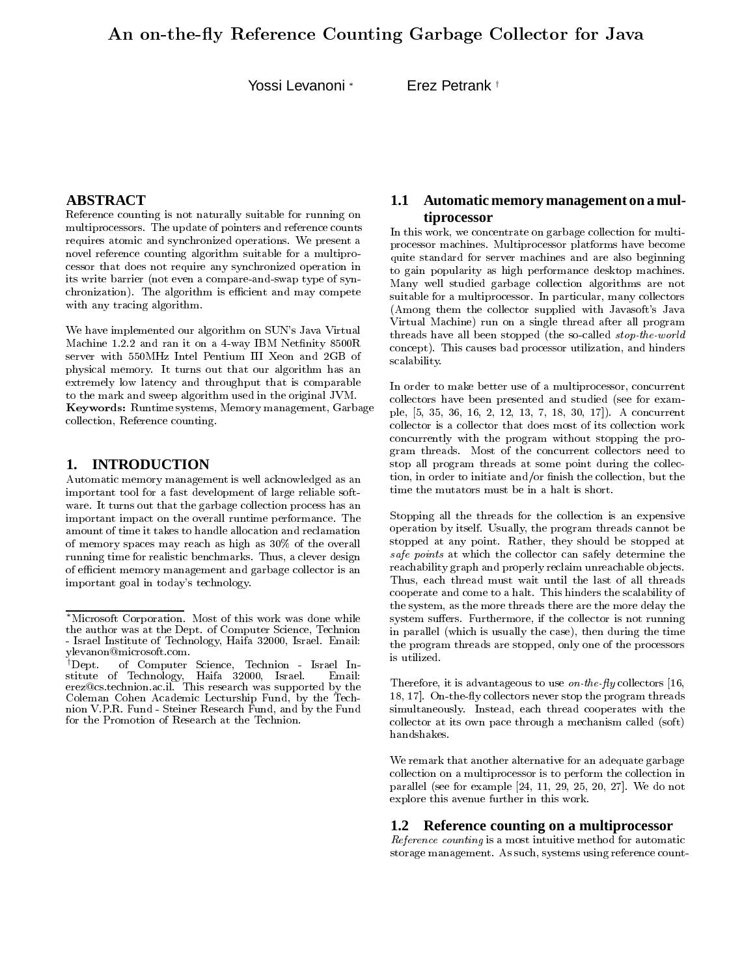Yossi Levanoni \*

Erez Petrank<sup>+</sup>

# **ABSTRACT**

Reference counting is not naturally suitable for running on multiprocessors. The update of pointers and reference counts requires atomic and synchronized operations. We present a novel reference counting algorithm suitable for a multiprocessor that does not require any synchronized operation in its write barrier (not even a compare-and-swap type of synchronization). The algorithm is efficient and may compete with any tracing algorithm.

We have implemented our algorithm on SUN's Java Virtual Machine 1.2.2 and ran it on a 4-way IBM Netfinity 8500R server with 550MHz Intel Pentium III Xeon and 2GB of physical memory. It turns out that our algorithm has an extremely low latency and throughput that is comparable to the mark and sweep algorithm used in the original JVM. Keywords: Runtime systems, Memory management, Garbage collection, Reference counting.

#### **INTRODUCTION** 1.

Automatic memory management is well acknowledged as an important tool for a fast development of large reliable software. It turns out that the garbage collection process has an important impact on the overall runtime performance. The amount of time it takes to handle allocation and reclamation of memory spaces may reach as high as 30% of the overall running time for realistic benchmarks. Thus, a clever design of efficient memory management and garbage collector is an important goal in today's technology.

# 1.1 Automatic memory management on a multiprocessor

In this work, we concentrate on garbage collection for multiprocessor machines. Multiprocessor platforms have become quite standard for server machines and are also beginning to gain popularity as high performance desktop machines. Many well studied garbage collection algorithms are not suitable for a multiprocessor. In particular, many collectors (Among them the collector supplied with Javasoft's Java Virtual Machine) run on a single thread after all program threads have all been stopped (the so-called *stop-the-world* concept). This causes bad processor utilization, and hinders scalability.

In order to make better use of a multiprocessor, concurrent collectors have been presented and studied (see for example, [5, 35, 36, 16, 2, 12, 13, 7, 18, 30, 17]). A concurrent collector is a collector that does most of its collection work concurrently with the program without stopping the program threads. Most of the concurrent collectors need to stop all program threads at some point during the collection, in order to initiate and/or finish the collection, but the time the mutators must be in a halt is short.

Stopping all the threads for the collection is an expensive operation by itself. Usually, the program threads cannot be stopped at any point. Rather, they should be stopped at safe points at which the collector can safely determine the reachability graph and properly reclaim unreachable objects. Thus, each thread must wait until the last of all threads cooperate and come to a halt. This hinders the scalability of the system, as the more threads there are the more delay the system suffers. Furthermore, if the collector is not running in parallel (which is usually the case), then during the time the program threads are stopped, only one of the processors is utilized.

Therefore, it is advantageous to use *on the fly* collectors [16, 18, 17. On-the-fly collectors never stop the program threads simultaneously. Instead, each thread cooperates with the collector at its own pace through a mechanism called (soft) handshakes.

We remark that another alternative for an adequate garbage collection on a multiprocessor is to perform the collection in parallel (see for example  $[24, 11, 29, 25, 20, 27]$ . We do not explore this avenue further in this work.

### 1.2 Reference counting on a multiprocessor

Reference counting is a most intuitive method for automatic storage management. As such, systems using reference count-

<sup>\*</sup>Microsoft Corporation. Most of this work was done while the author was at the Dept. of Computer Science, Technion - Israel Institute of Technology, Haifa 32000, Israel. Email: ylevanon@microsoft.com.

<sup>&</sup>lt;sup>†</sup> Dent of Computer Science, Technion - Israel Institute of Technology, Haifa 32000, Israel. Email:<br>erez@cs.technion.ac.il. This research was supported by the Coleman Cohen Academic Lecturship Fund, by the Technion V.P.R. Fund - Steiner Research Fund, and by the Fund for the Promotion of Research at the Technion.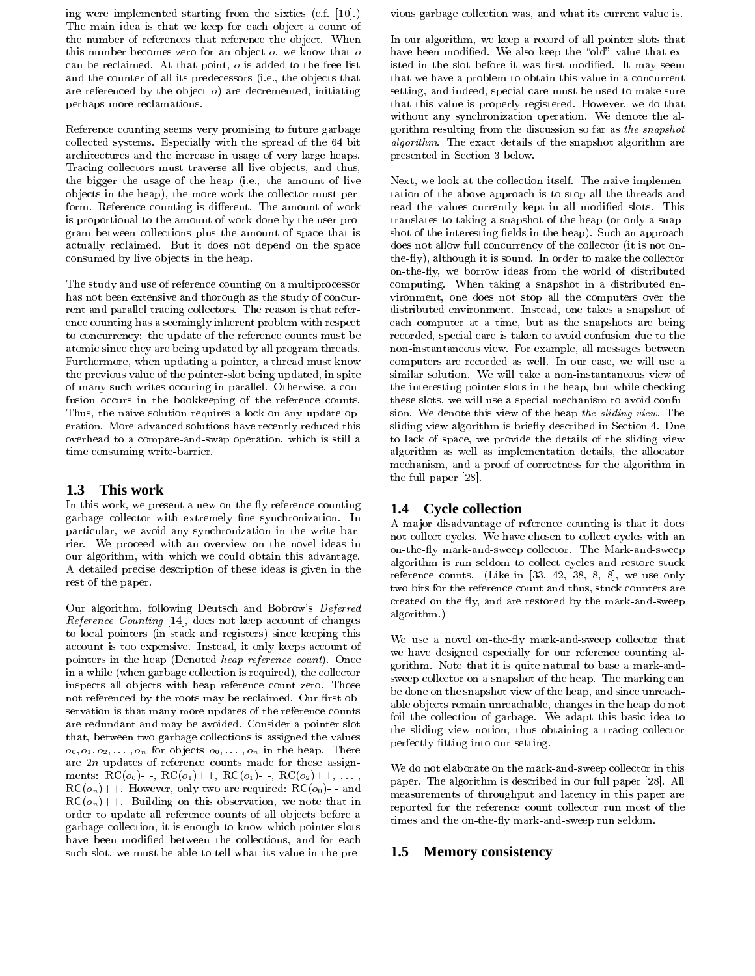ing were implemented starting from the sixties (c.f. [10].) The main idea is that we keep for each object a count of the number of references that reference the object. When this number becomes zero for an object  $o$ , we know that  $o$ can be reclaimed. At that point, o is added to the free list and the counter of all its predecessors (i.e., the objects that are referenced by the object  $o$ ) are decremented, initiating perhaps more reclamations.

Reference counting seems very promising to future garbage collected systems. Especially with the spread of the 64 bit architectures and the increase in usage of very large heaps. Tracing collectors must traverse all live objects, and thus, the bigger the usage of the heap (i.e., the amount of live objects in the heap), the more work the collector must perform. Reference counting is different. The amount of work is proportional to the amount of work done by the user program between collections plus the amount of space that is actually reclaimed. But it does not depend on the space consumed by live objects in the heap.

The study and use of reference counting on a multiprocessor has not been extensive and thorough as the study of concurrent and parallel tracing collectors. The reason is that reference counting has a seemingly inherent problem with respect to concurrency: the update of the reference counts must be atomic since they are being updated by all program threads. Furthermore, when updating a pointer, a thread must know the previous value of the pointer-slot being updated, in spite of many such writes occuring in parallel. Otherwise, a confusion occurs in the bookkeeping of the reference counts. Thus, the naive solution requires a lock on any update operation. More advanced solutions have recently reduced this overhead to a compare-and-swap operation, which is still a time consuming write-barrier.

#### $1.3$ This work

In this work, we present a new on-the-fly reference counting garbage collector with extremely fine synchronization. In particular, we avoid any synchronization in the write barrier. We proceed with an overview on the novel ideas in our algorithm, with which we could obtain this advantage. A detailed precise description of these ideas is given in the rest of the paper.

Our algorithm, following Deutsch and Bobrow's Deferred *Reference Counting* [14], does not keep account of changes to local pointers (in stack and registers) since keeping this account is too expensive. Instead, it only keeps account of pointers in the heap (Denoted heap reference count). Once in a while (when garbage collection is required), the collector inspects all objects with heap reference count zero. Those not referenced by the roots may be reclaimed. Our first observation is that many more updates of the reference counts are redundant and may be avoided. Consider a pointer slot that, between two garbage collections is assigned the values  $o_0, o_1, o_2, \ldots, o_n$  for objects  $o_0, \ldots, o_n$  in the heap. There are  $2n$  updates of reference counts made for these assignments:  $\text{RC}(o_0)$  -,  $\text{RC}(o_1)$ ++,  $\text{RC}(o_1)$  -,  $\text{RC}(o_2)$ ++, ...  $\mathrm{RC}(o_n)$ ++. However, only two are required:  $\mathrm{RC}(o_0)$ - and  $\mathrm{RC}(o_n)$ ++. Building on this observation, we note that in order to update all reference counts of all objects before a garbage collection, it is enough to know which pointer slots have been modified between the collections, and for each such slot, we must be able to tell what its value in the previous garbage collection was, and what its current value is.

In our algorithm, we keep a record of all pointer slots that have been modified. We also keep the "old" value that existed in the slot before it was first modified. It may seem that we have a problem to obtain this value in a concurrent setting, and indeed, special care must be used to make sure that this value is properly registered. However, we do that without any synchronization operation. We denote the algorithm resulting from the discussion so far as the snapshot *algorithm*. The exact details of the snapshot algorithm are presented in Section 3 below.

Next, we look at the collection itself. The naive implementation of the above approach is to stop all the threads and read the values currently kept in all modified slots. This translates to taking a snapshot of the heap (or only a snapshot of the interesting fields in the heap). Such an approach does not allow full concurrency of the collector (it is not onthe-fly), although it is sound. In order to make the collector on-the-fly, we borrow ideas from the world of distributed computing. When taking a snapshot in a distributed environment, one does not stop all the computers over the distributed environment. Instead, one takes a snapshot of each computer at a time, but as the snapshots are being recorded, special care is taken to avoid confusion due to the non-instantaneous view. For example, all messages between computers are recorded as well. In our case, we will use a similar solution. We will take a non-instantaneous view of the interesting pointer slots in the heap, but while checking these slots, we will use a special mechanism to avoid confusion. We denote this view of the heap the sliding view. The sliding view algorithm is briefly described in Section 4. Due to lack of space, we provide the details of the sliding view algorithm as well as implementation details, the allocator mechanism, and a proof of correctness for the algorithm in the full paper [28].

# 1.4 Cycle collection

A major disadvantage of reference counting is that it does not collect cycles. We have chosen to collect cycles with an on-the-fly mark-and-sweep collector. The Mark-and-sweep algorithm is run seldom to collect cycles and restore stuck reference counts. (Like in [33, 42, 38, 8, 8], we use only two bits for the reference count and thus, stuck counters are created on the fly, and are restored by the mark-and-sweep algorithm.)

We use a novel on-the-fly mark-and-sweep collector that we have designed especially for our reference counting algorithm. Note that it is quite natural to base a mark-andsweep collector on a snapshot of the heap. The marking can be done on the snapshot view of the heap, and since unreachable objects remain unreachable, changes in the heap do not foil the collection of garbage. We adapt this basic idea to the sliding view notion, thus obtaining a tracing collector perfectly fitting into our setting.

We do not elaborate on the mark-and-sweep collector in this paper. The algorithm is described in our full paper [28]. All measurements of throughput and latency in this paper are reported for the reference count collector run most of the times and the on-the-fly mark-and-sweep run seldom.

# 1.5 Memory consistency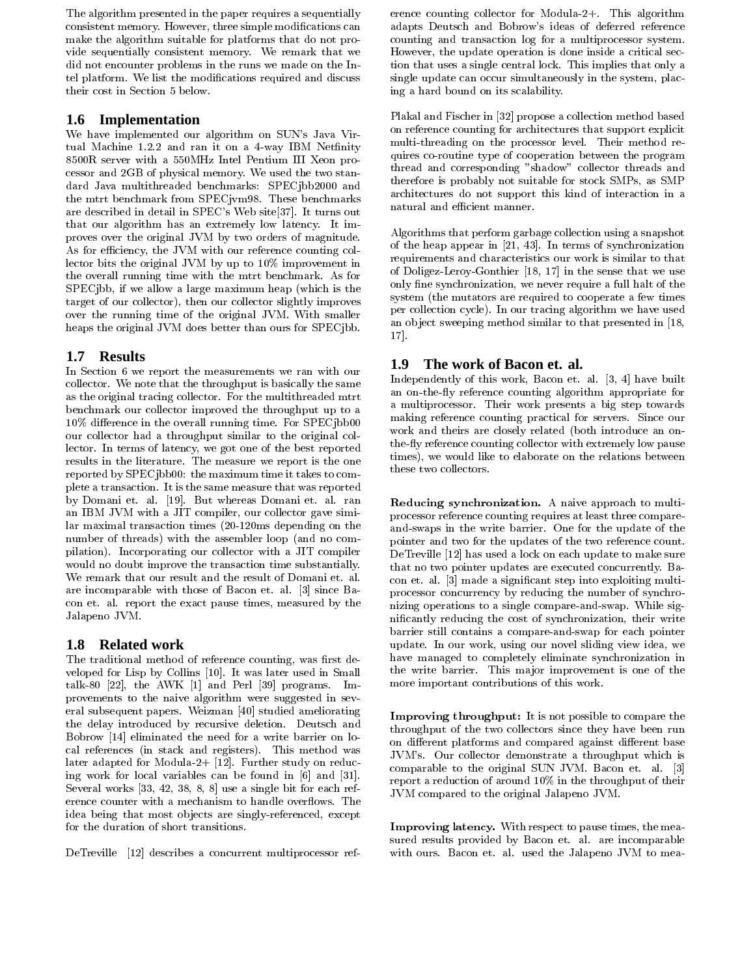The algorithm presented in the paper requires a sequentially consistent memory. However, three simple modifications can make the algorithm suitable for platforms that do not provide sequentially consistent memory. We remark that we did not encounter problems in the runs we made on the Intel platform. We list the modifications required and discuss their cost in Section 5 below.

# 1.6 Implementation

We have implemented our algorithm on SUN's Java Virtual Machine 1.2.2 and ran it on a 4-way IBM Netfinity 8500R server with a 550MHz Intel Pentium III Xeon processor and 2GB of physical memory. We used the two standard Java multithreaded benchmarks: SPECjbb2000 and the mtrt benchmark from SPECjvm98. These benchmarks are described in detail in SPEC's Web site[37]. It turns out that our algorithm has an extremely low latency. It improves over the original JVM by two orders of magnitude. As for efficiency, the JVM with our reference counting collector bits the original JVM by up to 10% improvement in the overall running time with the mtrt benchmark. As for SPECjbb, if we allow a large maximum heap (which is the target of our collector), then our collector slightly improves over the running time of the original JVM. With smaller heaps the original JVM does better than ours for SPECjbb.

### $1.7<sub>z</sub>$ **Results**

In Section 6 we report the measurements we ran with our collector. We note that the throughput is basically the same as the original tracing collector. For the multithreaded mtrt benchmark our collector improved the throughput up to a 10% difference in the overall running time. For SPEC jbb00 our collector had a throughput similar to the original collector. In terms of latency, we got one of the best reported results in the literature. The measure we report is the one reported by SPECjbb00: the maximum time it takes to complete a transaction. It is the same measure that was reported by Domani et. al. [19]. But whereas Domani et. al. ran an IBM JVM with a JIT compiler, our collector gave similar maximal transaction times (20-120ms depending on the number of threads) with the assembler loop (and no compilation). Incorporating our collector with a JIT compiler would no doubt improve the transaction time substantially. We remark that our result and the result of Domani et. al. are incomparable with those of Bacon et. al. [3] since Bacon et. al. report the exact pause times, measured by the Jalapeno JVM.

# 1.8 Related work

The traditional method of reference counting, was first developed for Lisp by Collins [10]. It was later used in Small talk-80 [22], the AWK [1] and Perl [39] programs. Improvements to the naive algorithm were suggested in several subsequent papers. Weizman [40] studied ameliorating the delay introduced by recursive deletion. Deutsch and Bobrow [14] eliminated the need for a write barrier on local references (in stack and registers). This method was later adapted for Modula-2+  $[12]$ . Further study on reducing work for local variables can be found in  $[6]$  and  $[31]$ . Several works  $[33, 42, 38, 8, 8]$  use a single bit for each reference counter with a mechanism to handle overflows. The idea being that most objects are singly-referenced, except for the duration of short transitions.

DeTreville [12] describes a concurrent multiprocessor ref-

erence counting collector for Modula-2+. This algorithm adapts Deutsch and Bobrow's ideas of deferred reference counting and transaction log for a multiprocessor system. However, the update operation is done inside a critical section that uses a single central lock. This implies that only a single update can occur simultaneously in the system, placing a hard bound on its scalability.

Plakal and Fischer in [32] propose a collection method based on reference counting for architectures that support explicit multi-threading on the processor level. Their method requires co-routine type of cooperation between the program thread and corresponding "shadow" collector threads and therefore is probably not suitable for stock SMPs, as SMP architectures do not support this kind of interaction in a natural and efficient manner.

Algorithms that perform garbage collection using a snapshot of the heap appear in  $[21, 43]$ . In terms of synchronization requirements and characteristics our work is similar to that of Doligez-Leroy-Gonthier [18, 17] in the sense that we use only fine synchronization, we never require a full halt of the system (the mutators are required to cooperate a few times per collection cycle). In our tracing algorithm we have used an object sweeping method similar to that presented in [18, 17.

#### 1.9 The work of Bacon et. al.

Independently of this work, Bacon et. al. [3, 4] have built an on-the-fly reference counting algorithm appropriate for a multiprocessor. Their work presents a big step towards making reference counting practical for servers. Since our work and theirs are closely related (both introduce an onthe fly reference counting collector with extremely low pause times), we would like to elaborate on the relations between these two collectors.

Reducing synchronization. A naive approach to multiprocessor reference counting requires at least three compareand swaps in the write barrier. One for the update of the pointer and two for the updates of the two reference count. DeTreville [12] has used a lock on each update to make sure that no two pointer updates are executed concurrently. Bacon et. al. [3] made a significant step into exploiting multiprocessor concurrency by reducing the number of synchronizing operations to a single compare-and-swap. While significantly reducing the cost of synchronization, their write barrier still contains a compare-and-swap for each pointer update. In our work, using our novel sliding view idea, we have managed to completely eliminate synchronization in the write barrier. This major improvement is one of the more important contributions of this work.

Improving throughput: It is not possible to compare the throughput of the two collectors since they have been run on different platforms and compared against different base JVM's. Our collector demonstrate a throughput which is comparable to the original SUN JVM. Bacon et. al. [3] report a reduction of around 10% in the throughput of their JVM compared to the original Jalapeno JVM.

Improving latency. With respect to pause times, the measured results provided by Bacon et. al. are incomparable with ours. Bacon et. al. used the Jalapeno JVM to mea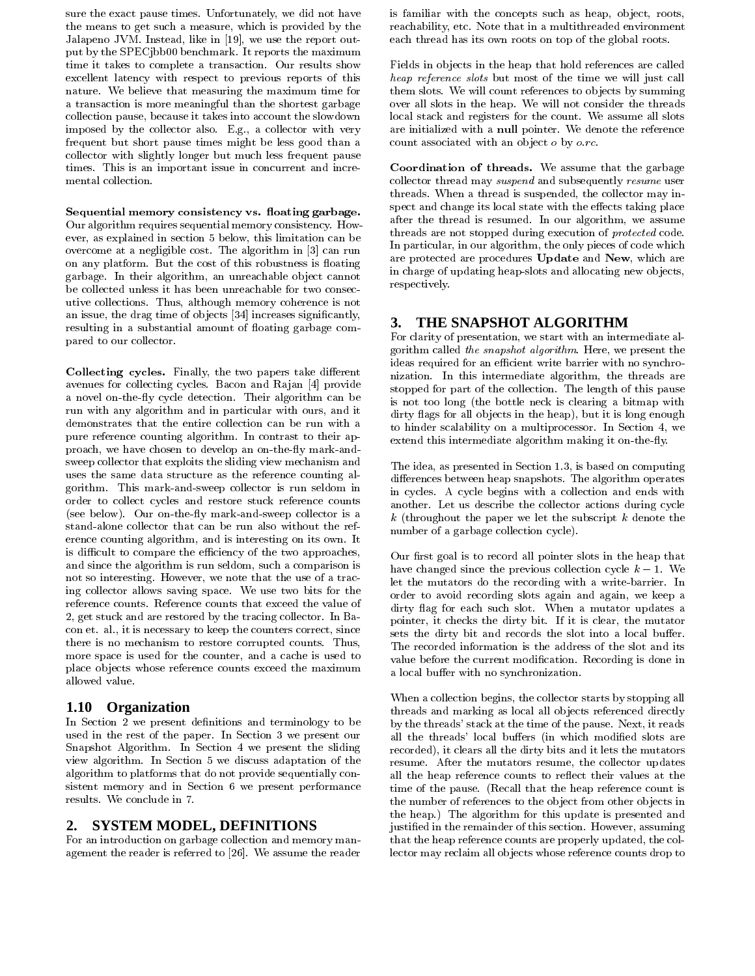sure the exact pause times. Unfortunately, we did not have the means to get such a measure, which is provided by the Jalapeno JVM. Instead, like in [19], we use the report output by the SPEC (bb00 benchmark. It reports the maximum time it takes to complete a transaction. Our results show excellent latency with respect to previous reports of this nature. We believe that measuring the maximum time for a transaction is more meaningful than the shortest garbage collection pause, because it takes into account the slowdown imposed by the collector also. E.g., a collector with very frequent but short pause times might be less good than a collector with slightly longer but much less frequent pause times. This is an important issue in concurrent and incremental collection.

Sequential memory consistency vs. floating garbage. Our algorithm requires sequential memory consistency. However, as explained in section 5 below, this limitation can be overcome at a negligible cost. The algorithm in [3] can run on any platform. But the cost of this robustness is floating garbage. In their algorithm, an unreachable object cannot be collected unless it has been unreachable for two consecutive collections. Thus, although memory coherence is not an issue, the drag time of objects [34] increases significantly, resulting in a substantial amount of floating garbage compared to our collector.

Collecting cycles. Finally, the two papers take different avenues for collecting cycles. Bacon and Rajan [4] provide a novel on-the-fly cycle detection. Their algorithm can be run with any algorithm and in particular with ours, and it demonstrates that the entire collection can be run with a pure reference counting algorithm. In contrast to their approach, we have chosen to develop an on-the-fly mark-andsweep collector that exploits the sliding view mechanism and uses the same data structure as the reference counting algorithm. This mark-and-sweep collector is run seldom in order to collect cycles and restore stuck reference counts (see below). Our on-the-fly mark-and-sweep collector is a stand-alone collector that can be run also without the reference counting algorithm, and is interesting on its own. It is difficult to compare the efficiency of the two approaches, and since the algorithm is run seldom, such a comparison is not so interesting. However, we note that the use of a tracing collector allows saving space. We use two bits for the reference counts. Reference counts that exceed the value of 2, get stuck and are restored by the tracing collector. In Bacon et. al., it is necessary to keep the counters correct, since there is no mechanism to restore corrupted counts. Thus, more space is used for the counter, and a cache is used to place objects whose reference counts exceed the maximum allowed value.

#### **Organization**  $1.10$

In Section 2 we present definitions and terminology to be used in the rest of the paper. In Section 3 we present our Snapshot Algorithm. In Section 4 we present the sliding view algorithm. In Section 5 we discuss adaptation of the algorithm to platforms that do not provide sequentially consistent memory and in Section 6 we present performance results. We conclude in 7.

# 2. SYSTEM MODEL, DEFINITIONS

For an introduction on garbage collection and memory management the reader is referred to [26]. We assume the reader is familiar with the concepts such as heap, object, roots, reachability, etc. Note that in a multithreaded environment each thread has its own roots on top of the global roots.

Fields in objects in the heap that hold references are called heap reference slots but most of the time we will just call them slots. We will count references to objects by summing over all slots in the heap. We will not consider the threads local stack and registers for the count. We assume all slots are initialized with a null pointer. We denote the reference count associated with an object  $o$  by  $o$ .rc.

Coordination of threads. We assume that the garbage collector thread may suspend and subsequently resume user threads. When a thread is suspended, the collector may inspect and change its local state with the effects taking place after the thread is resumed. In our algorithm, we assume threads are not stopped during execution of *protected* code. In particular, in our algorithm, the only pieces of code which are protected are procedures Update and New, which are in charge of updating heap-slots and allocating new objects, respectively.

#### **3.** THE SNAPSHOT ALGORITHM

For clarity of presentation, we start with an intermediate algorithm called the snapshot algorithm. Here, we present the ideas required for an efficient write barrier with no synchronization. In this intermediate algorithm, the threads are stopped for part of the collection. The length of this pause is not too long (the bottle neck is clearing a bitmap with dirty flags for all objects in the heap), but it is long enough to hinder scalability on a multiprocessor. In Section 4, we extend this intermediate algorithm making it on-the-fly.

The idea, as presented in Section 1.3, is based on computing differences between heap snapshots. The algorithm operates in cycles. A cycle begins with a collection and ends with another. Let us describe the collector actions during cycle  $k$  (throughout the paper we let the subscript  $k$  denote the number of a garbage collection cycle.

Our first goal is to record all pointer slots in the heap that have changed since the previous collection cycle  $k-1$ . We let the mutators do the recording with a write-barrier. In order to avoid recording slots again and again, we keep a dirty flag for each such slot. When a mutator updates a pointer, it checks the dirty bit. If it is clear, the mutator sets the dirty bit and records the slot into a local buffer. The recorded information is the address of the slot and its value before the current modification. Recording is done in a local buffer with no synchronization.

When a collection begins, the collector starts by stopping all threads and marking as local all objects referenced directly by the threads' stack at the time of the pause. Next, it reads all the threads' local buffers (in which modified slots are recorded), it clears all the dirty bits and it lets the mutators resume. After the mutators resume, the collector updates all the heap reference counts to reflect their values at the time of the pause. (Recall that the heap reference count is the number of references to the object from other objects in the heap.) The algorithm for this update is presented and justified in the remainder of this section. However, assuming that the heap reference counts are properly updated, the collector may reclaim all objects whose reference counts drop to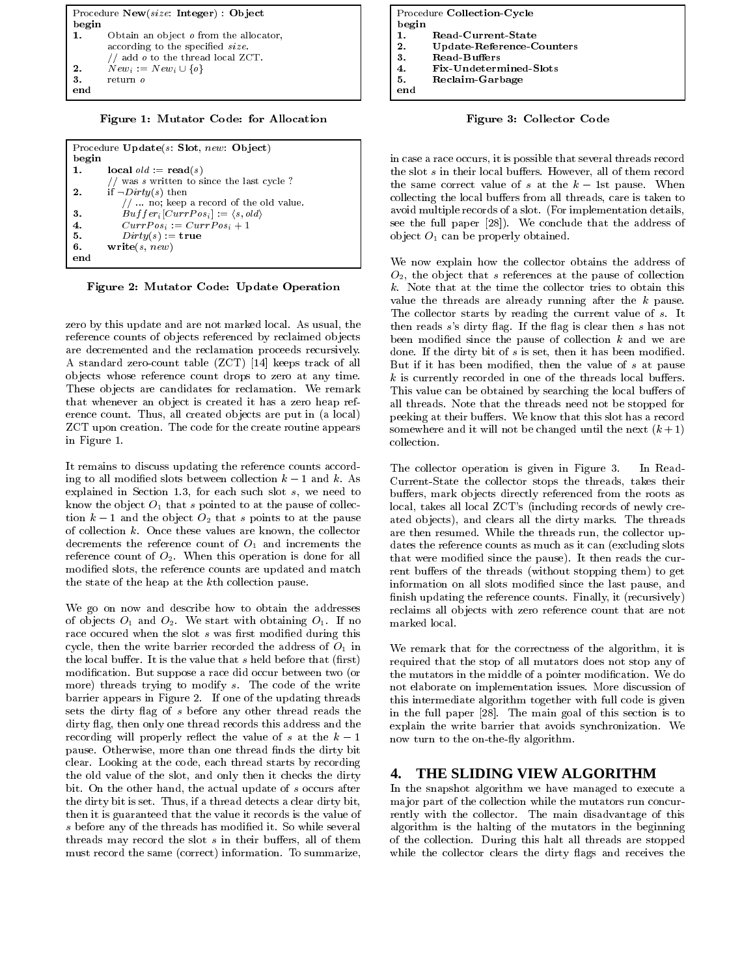

Figure 1: Mutator Code: for Allocation

|       | Procedure $Update(s: Slot, new: Object)$         |
|-------|--------------------------------------------------|
| begin |                                                  |
| 1.    | $local$ $old := read(s)$                         |
|       | // was s written to since the last cycle?        |
| 2.    | if $\neg Dirty(s)$ then                          |
|       | $// \dots$ no; keep a record of the old value.   |
| 3.    | $But fer_i[CurrPos_i] := \langle s, old \rangle$ |
| 4.    | $CurrPos_i := CurrPos_i + 1$                     |
| 5.    | $Dirty(s) := \textbf{true}$                      |
| 6.    | write(s, new)                                    |
| end   |                                                  |

Figure 2: Mutator Code: Update Operation

zero by this update and are not marked local. As usual, the reference counts of objects referenced by reclaimed objects are decremented and the reclamation proceeds recursively. A standard zero-count table (ZCT) [14] keeps track of all objects whose reference count drops to zero at any time. These objects are candidates for reclamation. We remark that whenever an object is created it has a zero heap reference count. Thus, all created objects are put in (a local) ZCT upon creation. The code for the create routine appears in Figure 1.

It remains to discuss updating the reference counts according to all modified slots between collection  $k-1$  and k. As explained in Section 1.3, for each such slot  $s$ , we need to know the object  $O_1$  that s pointed to at the pause of collection  $k-1$  and the object  $O_2$  that s points to at the pause of collection  $k$ . Once these values are known, the collector decrements the reference count of  $O_1$  and increments the reference count of  $O_2$ . When this operation is done for all modified slots, the reference counts are updated and match the state of the heap at the kth collection pause.

We go on now and describe how to obtain the addresses of objects  $O_1$  and  $O_2$ . We start with obtaining  $O_1$ . If no race occured when the slot s was first modified during this cycle, then the write barrier recorded the address of  $O<sub>1</sub>$  in the local buffer. It is the value that  $s$  held before that (first) modification. But suppose a race did occur between two (or more) threads trying to modify s. The code of the write barrier appears in Figure 2. If one of the updating threads sets the dirty flag of s before any other thread reads the dirty flag, then only one thread records this address and the recording will properly reflect the value of s at the  $k-1$ pause. Otherwise, more than one thread finds the dirty bit clear. Looking at the code, each thread starts by recording the old value of the slot, and only then it checks the dirty bit. On the other hand, the actual update of s occurs after the dirty bit is set. Thus, if a thread detects a clear dirty bit, then it is guaranteed that the value it records is the value of s before any of the threads has modified it. So while several threads may record the slot  $s$  in their buffers, all of them must record the same (correct) information. To summarize,

|       | Procedure Collection-Cycle |
|-------|----------------------------|
| begin |                            |
|       | Read-Current-State         |
| 2.    | Update-Reference-Counters  |
| 3.    | Read-Buffers               |
| 4.    | Fix-Undetermined-Slots     |
| 5.    | Reclaim-Garbage            |
| end   |                            |

Figure 3: Collector Code

in case a race occurs, it is possible that several threads record the slot s in their local buffers. However, all of them record the same correct value of s at the  $k-1$ st pause. When collecting the local buffers from all threads, care is taken to avoid multiple records of a slot. (For implementation details, see the full paper [28]). We conclude that the address of object  $O_1$  can be properly obtained.

We now explain how the collector obtains the address of  $O_2$ , the object that s references at the pause of collection k. Note that at the time the collector tries to obtain this value the threads are already running after the  $k$  pause. The collector starts by reading the current value of s. It then reads  $s$ 's dirty flag. If the flag is clear then  $s$  has not been modified since the pause of collection  $k$  and we are done. If the dirty bit of  $s$  is set, then it has been modified. But if it has been modified, then the value of s at pause  $k$  is currently recorded in one of the threads local buffers. This value can be obtained by searching the local buffers of all threads. Note that the threads need not be stopped for peeking at their buffers. We know that this slot has a record somewhere and it will not be changed until the next  $(k+1)$ collection.

The collector operation is given in Figure 3. In Read-Current-State the collector stops the threads, takes their buffers, mark objects directly referenced from the roots as local, takes all local ZCT's (including records of newly created objects), and clears all the dirty marks. The threads are then resumed. While the threads run, the collector updates the reference counts as much as it can (excluding slots that were modified since the pause). It then reads the current buffers of the threads (without stopping them) to get information on all slots modified since the last pause, and finish updating the reference counts. Finally, it (recursively) reclaims all objects with zero reference count that are not  $\operatorname*{marked}\operatorname*{local}.$ 

We remark that for the correctness of the algorithm, it is required that the stop of all mutators does not stop any of the mutators in the middle of a pointer modification. We do not elaborate on implementation issues. More discussion of this intermediate algorithm together with full code is given in the full paper [28]. The main goal of this section is to explain the write barrier that avoids synchronization. We now turn to the on-the-fly algorithm.

#### THE SLIDING VIEW ALGORITHM 4.

In the snapshot algorithm we have managed to execute a major part of the collection while the mutators run concurrently with the collector. The main disadvantage of this algorithm is the halting of the mutators in the beginning of the collection. During this halt all threads are stopped while the collector clears the dirty flags and receives the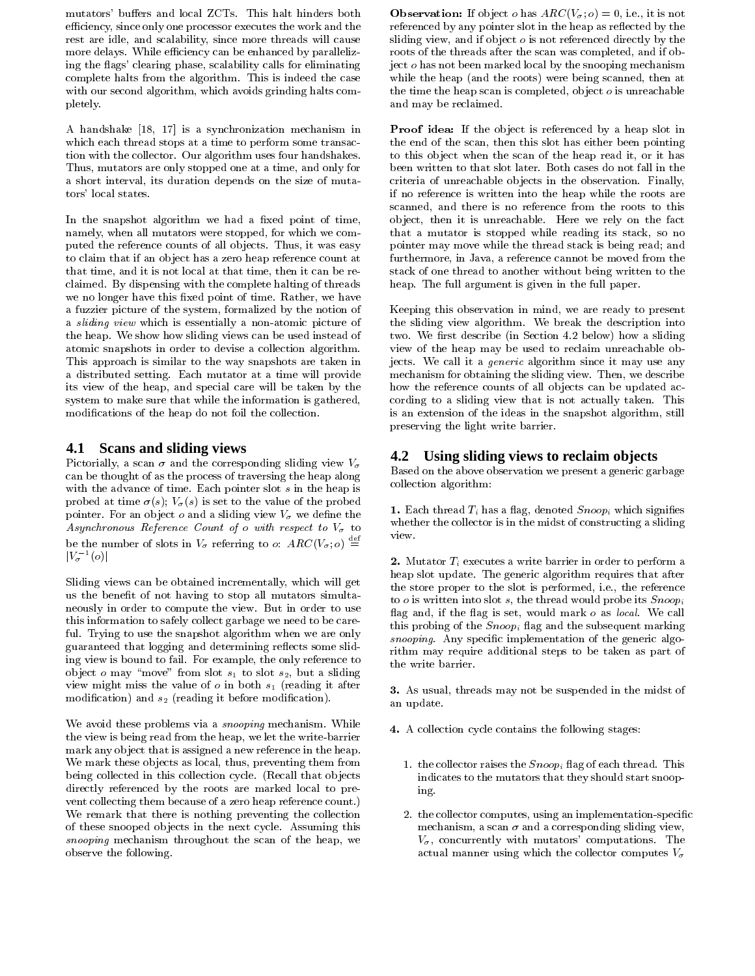mutators' buffers and local ZCTs. This halt hinders both efficiency, since only one processor executes the work and the rest are idle, and scalability, since more threads will cause more delays. While efficiency can be enhanced by parallelizing the flags' clearing phase, scalability calls for eliminating complete halts from the algorithm. This is indeed the case with our second algorithm, which avoids grinding halts completely.

A handshake [18, 17] is a synchronization mechanism in which each thread stops at a time to perform some transaction with the collector. Our algorithm uses four handshakes. Thus, mutators are only stopped one at a time, and only for a short interval, its duration depends on the size of mutators' local states.

In the snapshot algorithm we had a fixed point of time, namely, when all mutators were stopped, for which we computed the reference counts of all objects. Thus, it was easy to claim that if an object has a zero heap reference count at that time, and it is not local at that time, then it can be reclaimed. By dispensing with the complete halting of threads we no longer have this fixed point of time. Rather, we have a fuzzier picture of the system, formalized by the notion of a sliding view which is essentially a non-atomic picture of the heap. We show how sliding views can be used instead of atomic snapshots in order to devise a collection algorithm. This approach is similar to the way snapshots are taken in a distributed setting. Each mutator at a time will provide its view of the heap, and special care will be taken by the system to make sure that while the information is gathered, modifications of the heap do not foil the collection.

# 4.1 Scans and sliding views

Pictorially, a scan  $\sigma$  and the corresponding sliding view  $V_{\sigma}$ can be thought of as the process of traversing the heap along with the advance of time. Each pointer slot  $s$  in the heap is probed at time  $\sigma(s)$ ;  $V_{\sigma}(s)$  is set to the value of the probed pointer. For an object  $o$  and a sliding view  $V_{\sigma}$  we define the Asynchronous Reference Count of  $o$  with respect to  $V_{\sigma}$  to be the number of slots in  $V_{\sigma}$  referring to o:  $ARC(V_{\sigma}; o) \stackrel{\text{def}}{=}$  $|V_{\sigma}^{-1}(o)|$ 

Sliding views can be obtained incrementally, which will get us the benefit of not having to stop all mutators simultaneously in order to compute the view. But in order to use this information to safely collect garbage we need to be careful. Trying to use the snapshot algorithm when we are only guaranteed that logging and determining reflects some sliding view is bound to fail. For example, the only reference to object o may "move" from slot  $s_1$  to slot  $s_2$ , but a sliding view might miss the value of  $o$  in both  $s_1$  (reading it after modification) and  $s_2$  (reading it before modification).

We avoid these problems via a *snooping* mechanism. While the view is being read from the heap, we let the write-barrier mark any object that is assigned a new reference in the heap. We mark these objects as local, thus, preventing them from being collected in this collection cycle. (Recall that objects directly referenced by the roots are marked local to prevent collecting them because of a zero heap reference count.) We remark that there is nothing preventing the collection of these snooped objects in the next cycle. Assuming this snooping mechanism throughout the scan of the heap, we observe the following.

**Observation:** If object *o* has  $ARC(V_{\sigma}; o) = 0$ , i.e., it is not referenced by any pointer slot in the heap as reflected by the sliding view, and if object  $o$  is not referenced directly by the roots of the threads after the scan was completed, and if object *o* has not been marked local by the snooping mechanism while the heap (and the roots) were being scanned, then at the time the heap scan is completed, object  $o$  is unreachable and may be reclaimed.

Proof idea: If the object is referenced by a heap slot in the end of the scan, then this slot has either been pointing to this object when the scan of the heap read it, or it has been written to that slot later. Both cases do not fall in the criteria of unreachable objects in the observation. Finally, if no reference is written into the heap while the roots are scanned, and there is no reference from the roots to this object, then it is unreachable. Here we rely on the fact that a mutator is stopped while reading its stack, so no pointer may move while the thread stack is being read; and furthermore, in Java, a reference cannot be moved from the stack of one thread to another without being written to the heap. The full argument is given in the full paper.

Keeping this observation in mind, we are ready to present the sliding view algorithm. We break the description into two. We first describe (in Section 4.2 below) how a sliding view of the heap may be used to reclaim unreachable objects. We call it a *generic* algorithm since it may use any mechanism for obtaining the sliding view. Then, we describe how the reference counts of all objects can be updated according to a sliding view that is not actually taken. This is an extension of the ideas in the snapshot algorithm, still preserving the light write barrier.

# 4.2 Using sliding views to reclaim objects

Based on the above observation we present a generic garbage collection algorithm:

1. Each thread  $T_i$  has a flag, denoted  $Snoop_i$  which signifies whether the collector is in the midst of constructing a sliding view.

2. Mutator  $T_i$  executes a write barrier in order to perform a heap slot update. The generic algorithm requires that after the store proper to the slot is performed, i.e., the reference to o is written into slot s, the thread would probe its  $S_{\text{noop}_i}$ flag and, if the flag is set, would mark o as local. We call this probing of the  $Snoop_i$  flag and the subsequent marking snooping. Any specific implementation of the generic algorithm may require additional steps to be taken as part of the write barrier.

3. As usual, threads may not be suspended in the midst of an update.

- 4. A collection cycle contains the following stages:
	- 1. the collector raises the  $S_{\text{PQO}}$  flag of each thread. This indicates to the mutators that they should start snooping.
	- 2. the collector computes, using an implementation-specific mechanism, a scan  $\sigma$  and a corresponding sliding view,  $V_{\sigma}$ , concurrently with mutators' computations. The actual manner using which the collector computes  $V_{\sigma}$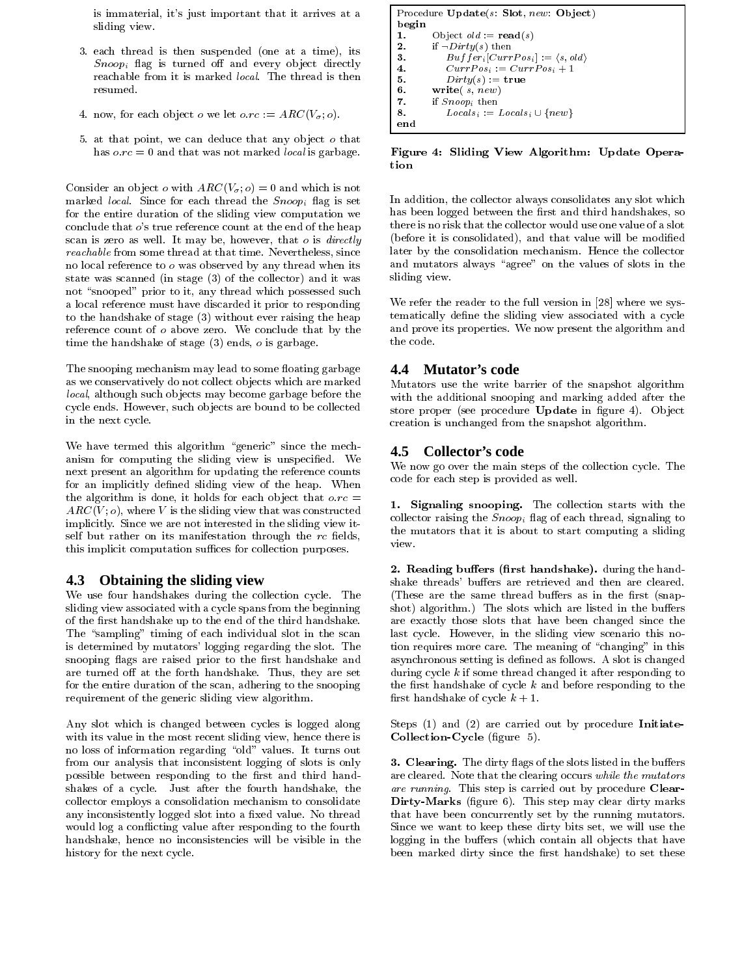is immaterial, it's just important that it arrives at a sliding view.

- 3. each thread is then suspended (one at a time), its  $S_{\text{noop}_i}$  flag is turned off and every object directly reachable from it is marked *local*. The thread is then resumed.
- 4. now, for each object  $o$  we let  $o, rc := ARC(V_{\sigma}, o)$ .
- 5. at that point, we can deduce that any object o that has  $o, rc = 0$  and that was not marked *local* is garbage.

Consider an object o with  $ARC(V_{\sigma}; o) = 0$  and which is not marked *local*. Since for each thread the  $Snoop<sub>i</sub>$  flag is set for the entire duration of the sliding view computation we conclude that  $o$ 's true reference count at the end of the heap scan is zero as well. It may be, however, that  $o$  is *directly reachable* from some thread at that time. Nevertheless, since no local reference to  $o$  was observed by any thread when its state was scanned (in stage (3) of the collector) and it was not "snooped" prior to it, any thread which possessed such a local reference must have discarded it prior to responding to the handshake of stage (3) without ever raising the heap reference count of o above zero. We conclude that by the time the handshake of stage  $(3)$  ends,  $o$  is garbage.

The snooping mechanism may lead to some floating garbage as we conservatively do not collect objects which are marked local, although such objects may become garbage before the cycle ends. However, such objects are bound to be collected in the next cycle.

We have termed this algorithm "generic" since the mechanism for computing the sliding view is unspecified. We next present an algorithm for updating the reference counts for an implicitly defined sliding view of the heap. When the algorithm is done, it holds for each object that  $o, rc =$  $ARC(V; o)$ , where V is the sliding view that was constructed implicitly. Since we are not interested in the sliding view itself but rather on its manifestation through the rc fields, this implicit computation suffices for collection purposes.

#### 4.3 **Obtaining the sliding view**

We use four handshakes during the collection cycle. The sliding view associated with a cycle spans from the beginning of the first handshake up to the end of the third handshake. The "sampling" timing of each individual slot in the scan is determined by mutators' logging regarding the slot. The snooping flags are raised prior to the first handshake and are turned off at the forth handshake. Thus, they are set for the entire duration of the scan, adhering to the snooping requirement of the generic sliding view algorithm.

Any slot which is changed between cycles is logged along with its value in the most recent sliding view, hence there is no loss of information regarding "old" values. It turns out from our analysis that inconsistent logging of slots is only possible between responding to the first and third handshakes of a cycle. Just after the fourth handshake, the collector employs a consolidation mechanism to consolidate any inconsistently logged slot into a fixed value. No thread would log a conflicting value after responding to the fourth handshake, hence no inconsistencies will be visible in the history for the next cycle.

```
Procedure Update(s: Slot, new: Object)begin
1.
         Object old := \text{read}(s)\overline{2}if \neg Dirty(s) then
3.
             Buffer_i[CurrPos_i] := \langle s, old \rangle\bf{4}CurrPos_i := CurrPos_i + 15.
            Dirty(s) := \textbf{true}6.write(s, new)
7.
        if Snoon; then
8.
            Locals_i := Locals_i \cup \{new\}end
```
Figure 4: Sliding View Algorithm: Update Operation

In addition, the collector always consolidates any slot which has been logged between the first and third handshakes, so there is no risk that the collector would use one value of a slot (before it is consolidated), and that value will be modified later by the consolidation mechanism. Hence the collector and mutators always "agree" on the values of slots in the sliding view.

We refer the reader to the full version in [28] where we systematically define the sliding view associated with a cycle and prove its properties. We now present the algorithm and the code.

#### $4.4$ **Mutator's code**

Mutators use the write barrier of the snapshot algorithm with the additional snooping and marking added after the store proper (see procedure Update in figure 4). Object creation is unchanged from the snapshot algorithm.

### 4.5 Collector's code

We now go over the main steps of the collection cycle. The code for each step is provided as well.

1. Signaling snooping. The collection starts with the collector raising the  $Snoop<sub>i</sub>$  flag of each thread, signaling to the mutators that it is about to start computing a sliding view.

2. Reading buffers (first handshake). during the handshake threads' buffers are retrieved and then are cleared. (These are the same thread buffers as in the first (snapshot) algorithm.) The slots which are listed in the buffers are exactly those slots that have been changed since the last cycle. However, in the sliding view scenario this notion requires more care. The meaning of "changing" in this asynchronous setting is defined as follows. A slot is changed during cycle  $k$  if some thread changed it after responding to the first handshake of cycle  $k$  and before responding to the first handshake of cycle  $k + 1$ .

Steps  $(1)$  and  $(2)$  are carried out by procedure Initiate-Collection-Cycle (figure 5).

3. Clearing. The dirty flags of the slots listed in the buffers are cleared. Note that the clearing occurs while the mutators are running. This step is carried out by procedure Clear-Dirty-Marks (figure 6). This step may clear dirty marks that have been concurrently set by the running mutators. Since we want to keep these dirty bits set, we will use the logging in the buffers (which contain all objects that have been marked dirty since the first handshake) to set these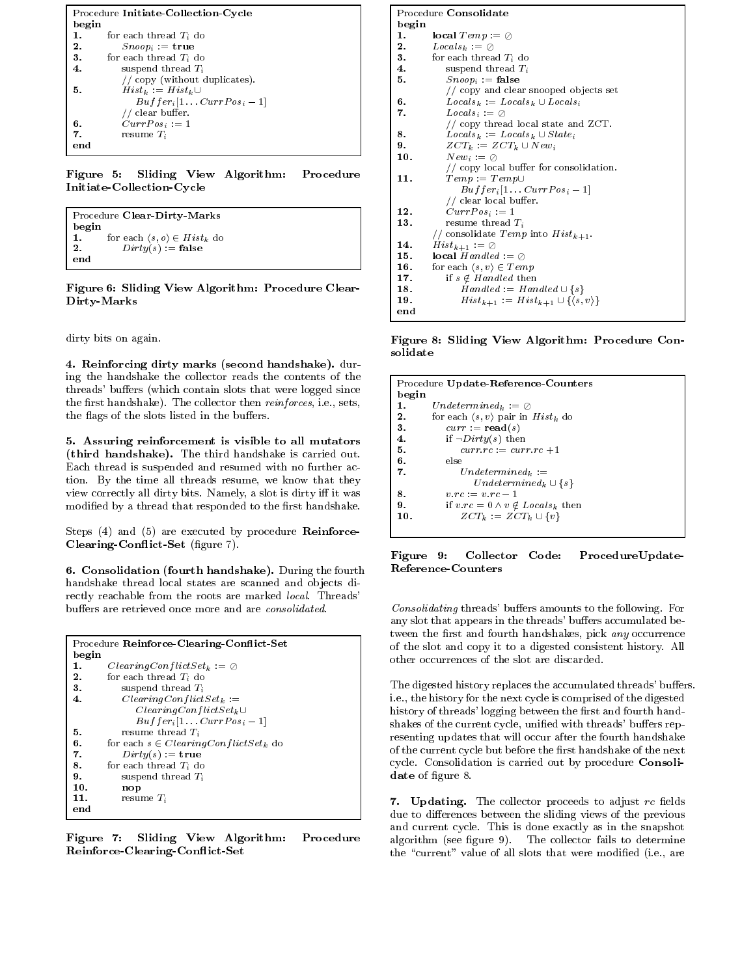|       | Procedure Initiate Collection Cycle  |  |  |  |  |
|-------|--------------------------------------|--|--|--|--|
| begin |                                      |  |  |  |  |
| 1.    | for each thread $T_i$ do             |  |  |  |  |
| 2.    | $S_{\mathit{noop}} := \mathtt{true}$ |  |  |  |  |
| 3.    | for each thread $T_i$ do             |  |  |  |  |
| 4.    | suspend thread $T_i$                 |  |  |  |  |
|       | // copy (without duplicates).        |  |  |  |  |
| 5.    | $Hist_k := Hist_k \cup$              |  |  |  |  |
|       | $But fer_i[1CurPos_i-1]$             |  |  |  |  |
|       | // clear buffer.                     |  |  |  |  |
| 6.    | $CurrPos_i := 1$                     |  |  |  |  |
| 7.    | resume $T_i$                         |  |  |  |  |
| end   |                                      |  |  |  |  |

Figure 5: Sliding View Algorithm: Procedure Initiate-Collection-Cycle

|       | Procedure Clear-Dirty-Marks                   |
|-------|-----------------------------------------------|
| begin |                                               |
| 1.    | for each $\langle s, o \rangle \in Hist_k$ do |
| 2.    | $Dirty(s) :=$ false                           |
| end   |                                               |

Figure 6: Sliding View Algorithm: Procedure Clear-Dirty-Marks

dirty bits on again.

4. Reinforcing dirty marks (second handshake). during the handshake the collector reads the contents of the threads' buffers (which contain slots that were logged since the first handshake). The collector then *reinforces*, i.e., sets, the flags of the slots listed in the buffers.

5. Assuring reinforcement is visible to all mutators (third handshake). The third handshake is carried out. Each thread is suspended and resumed with no further action. By the time all threads resume, we know that they view correctly all dirty bits. Namely, a slot is dirty iff it was modified by a thread that responded to the first handshake.

Steps (4) and (5) are executed by procedure Reinforce-Clearing-Conflict-Set (figure 7).

6. Consolidation (fourth handshake). During the fourth handshake thread local states are scanned and objects directly reachable from the roots are marked local. Threads' buffers are retrieved once more and are consolidated.

|       | Procedure Reinforce Clearing Conflict Set                 |
|-------|-----------------------------------------------------------|
| begin |                                                           |
| 1.    | $Clearly \subset \mathcal{C}$ on flict $Set_k := \oslash$ |
| 2.    | for each thread $T_i$ do                                  |
| 3.    | suspend thread $T_i$                                      |
| 4.    | $ClearingConflictSet_k :=$                                |
|       | $ClearingConflictSet_k \cup$                              |
|       | $Buffer_i[1 \dots CurrPos_i-1]$                           |
| 5.    | resume thread $T_i$                                       |
| 6.    | for each $s \in ClearingConflictSet_k$ do                 |
| 7.    | $Dirty(s) := \textbf{true}$                               |
| 8.    | for each thread $T_i$ do                                  |
| 9.    | suspend thread $T_i$                                      |
| 10.   | nop                                                       |
| 11.   | resume $T_i$                                              |
| end   |                                                           |

Figure 7: Sliding View Algorithm: Procedure Reinforce-Clearing-Conflict-Set

|            | Procedure Consolidate                                  |
|------------|--------------------------------------------------------|
| begin      |                                                        |
| 1.         | local $Temp := \oslash$                                |
| ${\bf 2.}$ | $Locals_k := \oslash$                                  |
| 3.         | for each thread $T_i$ do                               |
| 4.         | suspend thread $T_i$                                   |
| 5.         | $S_{\mathit{noop}_i} := \mathbf{false}$                |
|            | // copy and clear snooped objects set                  |
| 6.         | $Locals_k := Locals_k \cup Locals_i$                   |
| 7.         | $Locus_i := \oslash$                                   |
|            | // copy thread local state and $ZCT$ .                 |
| 8.         | $Locals_k := Locals_k \cup State_i$                    |
| 9.         | $ZCT_k := ZCT_k \cup New_i$                            |
| 10.        | $New_i := \oslash$                                     |
|            | // copy local buffer for consolidation.                |
| 11.        | $Temp := Temp \cup$                                    |
|            | $Buffer_i[1 \dots CurrPos_i-1]$                        |
|            | // clear local buffer.                                 |
| 12.        | $CurrPos_i := 1$                                       |
| 13.        | resume thread $T_i$                                    |
|            | // consolidate $Temp$ into $Hist_{k+1}$ .              |
| 14.        | $Hist_{k+1} := \emptyset$                              |
| 15.        | <b>local</b> Handled := $\oslash$                      |
| 16.        | for each $\langle s, v \rangle \in Temp$               |
| 17.        | if $s \notin Handled$ then                             |
| 18.        | $Handed := Handled \cup \{s\}$                         |
| 19.        | $Hist_{k+1} := Hist_{k+1} \cup \{\langle s,v\rangle\}$ |
| end        |                                                        |

Figure 8: Sliding View Algorithm: Procedure Consolidate

| Procedure Update-Reference-Counters                       |
|-----------------------------------------------------------|
| begin                                                     |
| $Under mined_k := \oslash$<br>1.                          |
| for each $\langle s, v \rangle$ pair in $Hist_k$ do<br>2. |
| $curr := read(s)$<br>3.                                   |
| if $\neg Dirty(s)$ then<br>4.                             |
| $curr.rc := curr.rc + 1$<br>5.                            |
| 6.<br>else                                                |
| 7.<br>$Undermined_k :=$                                   |
| $Under mined_k \cup \{s\}$                                |
| $v.rc := v.rc - 1$<br>8.                                  |
| if $v, rc = 0 \wedge v \notin \text{Locals}_k$ then<br>9. |
| $ZCT_k := ZCT_k \cup \{v\}$<br>10.                        |

Figure 9: Collector Code: ProcedureUpdate-**Reference-Counters** 

Consolidating threads' buffers amounts to the following. For any slot that appears in the threads' buffers accumulated between the first and fourth handshakes, pick any occurrence of the slot and copy it to a digested consistent history. All other occurrences of the slot are discarded.

The digested history replaces the accumulated threads' buffers. i.e., the history for the next cycle is comprised of the digested history of threads' logging between the first and fourth handshakes of the current cycle, unified with threads' buffers representing updates that will occur after the fourth handshake of the current cycle but before the first handshake of the next cycle. Consolidation is carried out by procedure Consolidate of figure 8.

7. Updating. The collector proceeds to adjust rc fields due to differences between the sliding views of the previous and current cycle. This is done exactly as in the snapshot algorithm (see figure 9). The collector fails to determine the "current" value of all slots that were modified (i.e., are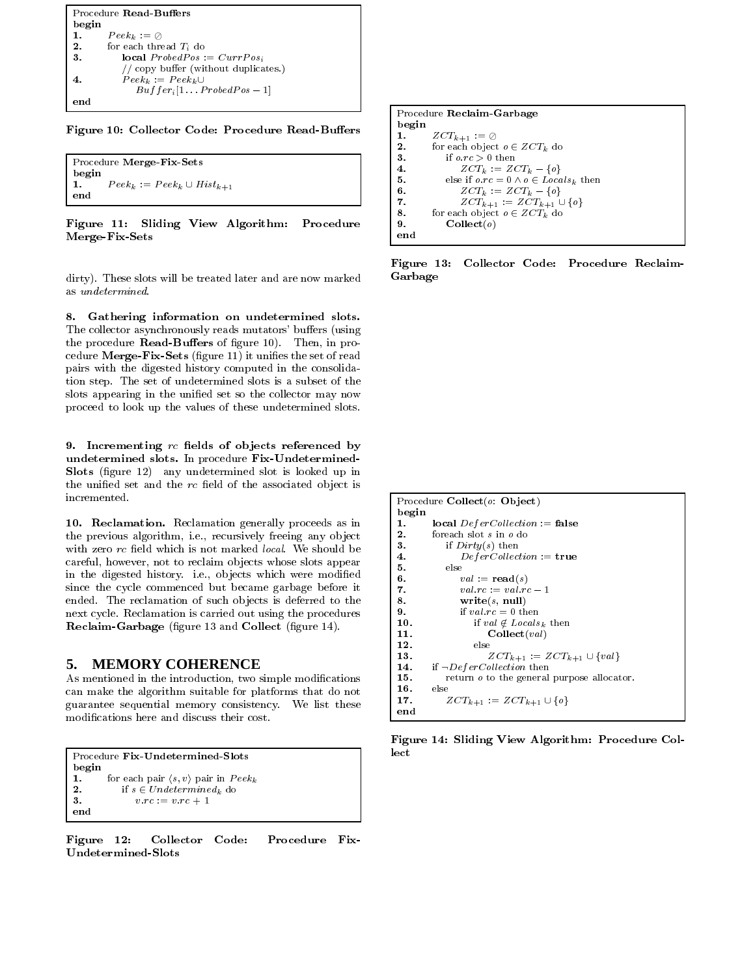|       | Procedure Read-Buffers                |
|-------|---------------------------------------|
| begin |                                       |
| 1.    | $Peek_k := \oslash$                   |
| 2.    | for each thread $T_i$ do              |
| 3.    | <b>local</b> $ProbedPos := CurrPos_i$ |
|       | // copy buffer (without duplicates.)  |
|       | $Peek_k := Peek_k \cup$               |
|       | $But fer_i[1 \tcdot ProbedPos-1]$     |
|       |                                       |

Figure 10: Collector Code: Procedure Read-Buffers

```
Procedure Merge-Fix-Sets
begin
       Peek_k := Peek_k \cup Hist_{k+1}1.
end
```
Figure 11: Sliding View Algorithm: Procedure Merge-Fix-Sets

dirty). These slots will be treated later and are now marked as *undetermined*.

8. Gathering information on undetermined slots. The collector asynchronously reads mutators' buffers (using the procedure Read-Buffers of figure 10). Then, in procedure Merge-Fix-Sets (figure 11) it unifies the set of read pairs with the digested history computed in the consolidation step. The set of undetermined slots is a subset of the slots appearing in the unified set so the collector may now proceed to look up the values of these undetermined slots.

9. Incrementing  $rc$  fields of objects referenced by undetermined slots. In procedure Fix-Undetermined-Slots (figure 12) any undetermined slot is looked up in the unified set and the rc field of the associated object is incremented.

10. Reclamation. Reclamation generally proceeds as in the previous algorithm, i.e., recursively freeing any object with zero rc field which is not marked local. We should be careful, however, not to reclaim objects whose slots appear in the digested history. i.e., objects which were modified since the cycle commenced but became garbage before it ended. The reclamation of such objects is deferred to the next cycle. Reclamation is carried out using the procedures Reclaim-Garbage (figure 13 and Collect (figure 14).

#### **MEMORY COHERENCE** 5.

As mentioned in the introduction, two simple modifications can make the algorithm suitable for platforms that do not guarantee sequential memory consistency. We list these modifications here and discuss their cost.

```
Procedure Fix-Undetermined-Slots
begin
         for each pair \langle s, v \rangle pair in Peek_k1.
            if s \in Undetermined_k do
\mathbf{2}{\bf 3} .
                v.rc := v.rc + 1end
```
Figure 12: Collector Code: Procedure Fix-**Undetermined-Slots** 

|       | Procedure Reclaim-Garbage                            |
|-------|------------------------------------------------------|
| begin |                                                      |
| 1.    | $ZCT_{k+1} := \emptyset$                             |
| 2.    | for each object $o \in ZCT_k$ do                     |
| 3.    | if $o, rc > 0$ then                                  |
| 4.    | $ZCT_k := ZCT_k - \{o\}$                             |
| 5.    | else if $o, rc = 0 \land o \in \text{Locals}_k$ then |
| 6.    | $ZCT_k := ZCT_k - \{o\}$                             |
| 7.    | $ZCT_{k+1} := ZCT_{k+1} \cup \{o\}$                  |
| 8.    | for each object $o \in ZCT_k$ do                     |
| 9.    | $\textbf{Collect}(o)$                                |
| end   |                                                      |

Figure 13: Collector Code: Procedure Reclaim-Garbage

```
Procedure Collect(o: Object)
begin
         local Defercollection := false1.
\overline{2}foreach slot s in o do
3.
            if Dirty(s) then
                DeferCollection := true\bf{4}5.
            else
6.val := \text{read}(s)\overline{7}.
                val.rc := val.rc - 1\mathbf{R}write(s, null)9.if val.rc = 0 then
                    if val \notin \mathit{Locals}_k then
10<sub>1</sub>11.
                        \textbf{Collect}(val)12.
                    else
                        ZCT_{k+1} := ZCT_{k+1} \cup \{val\}13.
         if \negDeferCollection then
14.
15.
            return o to the general purpose allocator.
16.
         else
             ZCT_{k+1} := ZCT_{k+1} \cup \{o\}17.
end
```
Figure 14: Sliding View Algorithm: Procedure Collect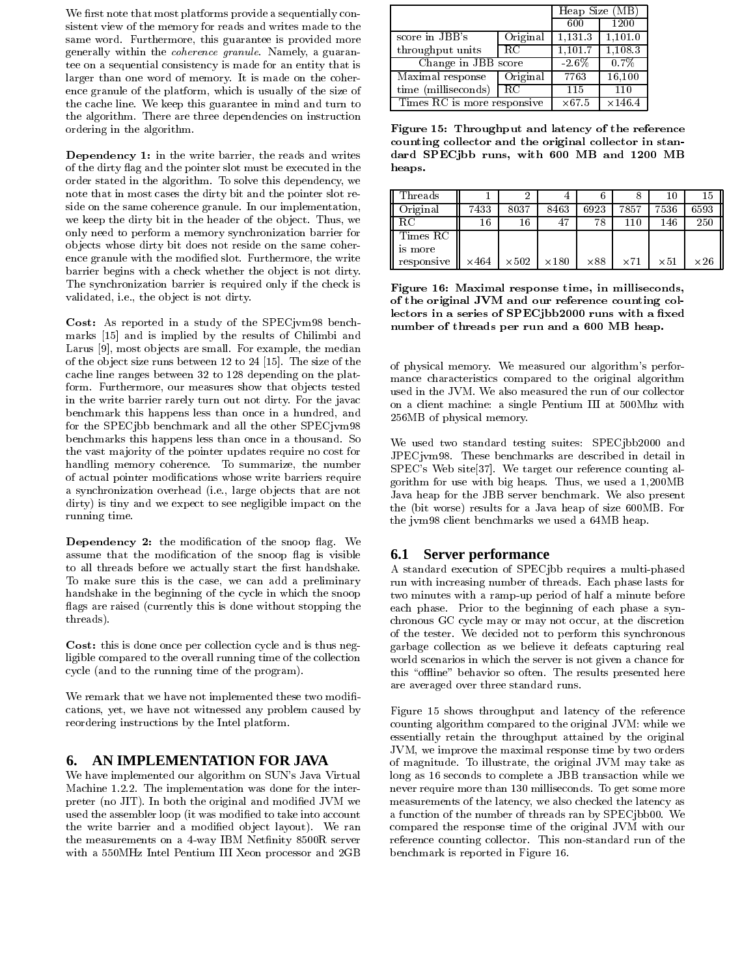We first note that most platforms provide a sequentially consistent view of the memory for reads and writes made to the same word. Furthermore, this guarantee is provided more generally within the coherence granule. Namely, a guarantee on a sequential consistency is made for an entity that is larger than one word of memory. It is made on the coherence granule of the platform, which is usually of the size of the cache line. We keep this guarantee in mind and turn to the algorithm. There are three dependencies on instruction ordering in the algorithm.

Dependency 1: in the write barrier, the reads and writes of the dirty flag and the pointer slot must be executed in the order stated in the algorithm. To solve this dependency, we note that in most cases the dirty bit and the pointer slot reside on the same coherence granule. In our implementation, we keep the dirty bit in the header of the object. Thus, we only need to perform a memory synchronization barrier for objects whose dirty bit does not reside on the same coherence granule with the modified slot. Furthermore, the write barrier begins with a check whether the object is not dirty. The synchronization barrier is required only if the check is validated, i.e., the object is not dirty.

Cost: As reported in a study of the SPECjvm98 benchmarks [15] and is implied by the results of Chilimbi and Larus [9], most objects are small. For example, the median of the object size runs between 12 to 24 [15]. The size of the cache line ranges between 32 to 128 depending on the platform. Furthermore, our measures show that objects tested in the write barrier rarely turn out not dirty. For the javac benchmark this happens less than once in a hundred, and for the SPECjbb benchmark and all the other SPECjvm98 benchmarks this happens less than once in a thousand. So the vast majority of the pointer updates require no cost for handling memory coherence. To summarize, the number of actual pointer modifications whose write barriers require a synchronization overhead (i.e., large objects that are not dirty) is tiny and we expect to see negligible impact on the running time.

Dependency 2: the modification of the snoop flag. We assume that the modification of the snoop flag is visible to all threads before we actually start the first handshake. To make sure this is the case, we can add a preliminary handshake in the beginning of the cycle in which the snoop flags are raised (currently this is done without stopping the threads).

Cost: this is done once per collection cycle and is thus negligible compared to the overall running time of the collection cycle (and to the running time of the program).

We remark that we have not implemented these two modifications, yet, we have not witnessed any problem caused by reordering instructions by the Intel platform.

### 6. AN IMPLEMENTATION FOR JAVA

We have implemented our algorithm on SUN's Java Virtual Machine 1.2.2. The implementation was done for the interpreter (no JIT). In both the original and modified JVM we used the assembler loop (it was modified to take into account the write barrier and a modified object layout). We ran the measurements on a 4-way IBM Netfinity 8500R server with a 550MHz Intel Pentium III Xeon processor and 2GB

|                             | Heap Size (MB)      |                |         |
|-----------------------------|---------------------|----------------|---------|
|                             |                     | 600            | 1200    |
| score in JBB's              | Original            | 1,131.3        | 1,101.0 |
| throughput units            | -RC                 | 1.101.7        | 1.108.3 |
|                             | Change in JBB score |                |         |
| Maximal response            | Original            | 7763           | 16,100  |
| time (milliseconds)         | 115                 | 110            |         |
| Times RC is more responsive | $\times 67.5$       | $\times$ 146.4 |         |

Figure 15: Throughput and latency of the reference counting collector and the original collector in standard SPECjbb runs, with 600 MB and 1200 MB heaps.

| $\operatorname{Threads}$ |      |              |              |             |            | 10          | 15          |
|--------------------------|------|--------------|--------------|-------------|------------|-------------|-------------|
| Original                 | 7433 | 8037         | 8463         | 6923        | 7857       | 7536        | 6593        |
| RС                       | 16   | 16           | 47           | 78          | 110        | 146         | 250         |
| Times RC                 |      |              |              |             |            |             |             |
| is more                  |      |              |              |             |            |             |             |
| responsive               | ×464 | $\times 502$ | $\times 180$ | $\times 88$ | $\times71$ | $\times 51$ | $\times 26$ |

Figure 16: Maximal response time, in milliseconds, of the original JVM and our reference counting collectors in a series of SPECjbb2000 runs with a fixed number of threads per run and a 600 MB heap.

of physical memory. We measured our algorithm's performance characteristics compared to the original algorithm used in the JVM. We also measured the run of our collector on a client machine: a single Pentium III at 500Mhz with 256MB of physical memory.

We used two standard testing suites: SPECjbb2000 and JPECjym98. These benchmarks are described in detail in SPEC's Web site[37]. We target our reference counting algorithm for use with big heaps. Thus, we used a 1,200MB Java heap for the JBB server benchmark. We also present the (bit worse) results for a Java heap of size 600MB. For the jym98 client benchmarks we used a 64MB heap.

## **6.1 Server performance**

A standard execution of SPECjbb requires a multi-phased run with increasing number of threads. Each phase lasts for two minutes with a ramp-up period of half a minute before each phase. Prior to the beginning of each phase a synchronous GC cycle may or may not occur, at the discretion of the tester. We decided not to perform this synchronous garbage collection as we believe it defeats capturing real world scenarios in which the server is not given a chance for this "offline" behavior so often. The results presented here are averaged over three standard runs.

Figure 15 shows throughput and latency of the reference counting algorithm compared to the original JVM: while we essentially retain the throughput attained by the original JVM, we improve the maximal response time by two orders of magnitude. To illustrate, the original JVM may take as long as 16 seconds to complete a JBB transaction while we never require more than 130 milliseconds. To get some more measurements of the latency, we also checked the latency as a function of the number of threads ran by SPECjbb00. We compared the response time of the original JVM with our reference counting collector. This non-standard run of the benchmark is reported in Figure 16.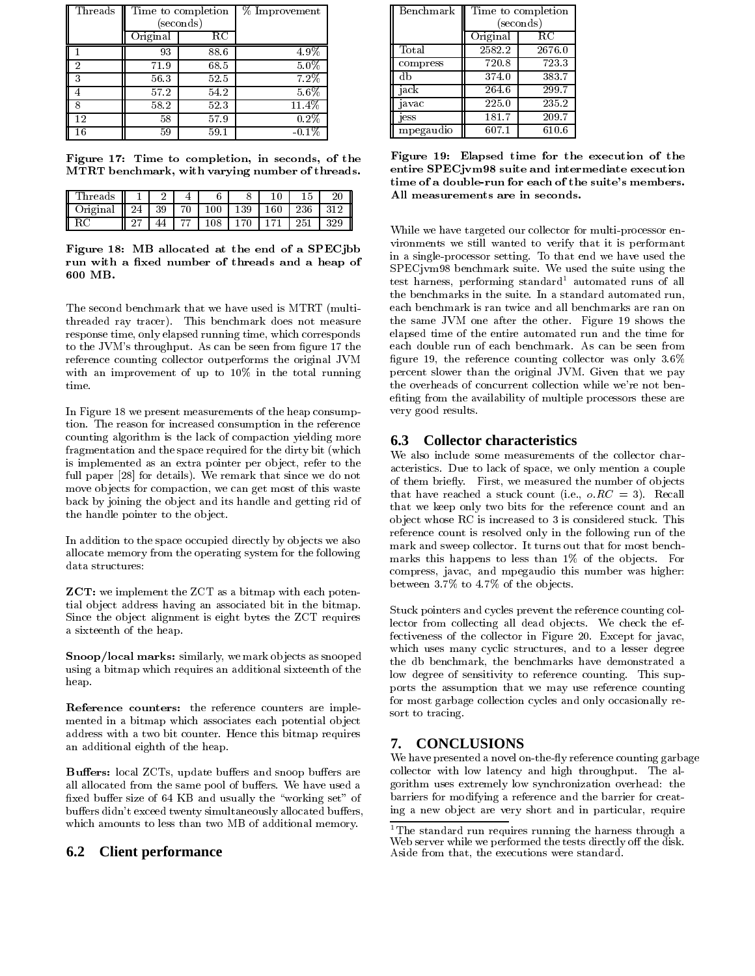| Threads |          | Time to completion | % Improvement |
|---------|----------|--------------------|---------------|
|         |          | seconds)           |               |
|         | Original | $_{\rm RC}$        |               |
|         | 93       | 88.6               | 4.9%          |
| 2       | 71.9     | 68.5               | $5.0\%$       |
| 3       | 56.3     | 52.5               | 7.2%          |
|         | 57.2     | 54.2               | $5.6\%$       |
|         | 58.2     | 52.3               | 11.4%         |
| 12      | 58       | 57.9               | 0.2%          |
| 16      | 59       | 59.1               | $-0.1\%$      |

Figure 17: Time to completion, in seconds, of the MTRT benchmark, with varying number of threads.

| 'hreads |         |  |  |    |  |
|---------|---------|--|--|----|--|
| riginal | 24<br>Ш |  |  |    |  |
|         |         |  |  | つに |  |

Figure 18: MB allocated at the end of a SPECjbb run with a fixed number of threads and a heap of 600 MB.

The second benchmark that we have used is MTRT (multithreaded ray tracer). This benchmark does not measure response time, only elapsed running time, which corresponds to the JVM's throughput. As can be seen from figure 17 the reference counting collector outperforms the original JVM with an improvement of up to 10% in the total running time.

In Figure 18 we present measurements of the heap consumption. The reason for increased consumption in the reference counting algorithm is the lack of compaction yielding more fragmentation and the space required for the dirty bit (which is implemented as an extra pointer per object, refer to the full paper [28] for details). We remark that since we do not move objects for compaction, we can get most of this waste back by joining the object and its handle and getting rid of the handle pointer to the object.

In addition to the space occupied directly by objects we also allocate memory from the operating system for the following data structures:

**ZCT:** we implement the ZCT as a bitmap with each potential object address having an associated bit in the bitmap. Since the object alignment is eight bytes the ZCT requires a sixteenth of the heap.

Snoop/local marks: similarly, we mark objects as snooped using a bitmap which requires an additional sixteenth of the heap.

Reference counters: the reference counters are implemented in a bitmap which associates each potential object address with a two bit counter. Hence this bitmap requires an additional eighth of the heap.

Buffers: local ZCTs, update buffers and snoop buffers are all allocated from the same pool of buffers. We have used a fixed buffer size of 64 KB and usually the "working set" of buffers didn't exceed twenty simultaneously allocated buffers, which amounts to less than two MB of additional memory.

#### 6.2 **Client performance**

| Benchmark | Time to completion   |        |  |  |  |
|-----------|----------------------|--------|--|--|--|
|           | $(\mathrm{seconds})$ |        |  |  |  |
|           | Original             | RС     |  |  |  |
| Total     | 2582.2               | 2676.0 |  |  |  |
| compress  | 720.8                | 723.3  |  |  |  |
| db        | 374.0                | 383.7  |  |  |  |
| jack      | 264.6                | 299.7  |  |  |  |
| javac     | 225.0                | 235.2  |  |  |  |
| jess      | 181.7                | 209.7  |  |  |  |
| mpegaudio | 607.1                | 610.6  |  |  |  |

Figure 19: Elapsed time for the execution of the entire SPECjvm98 suite and intermediate execution time of a double-run for each of the suite's members. All measurements are in seconds.

While we have targeted our collector for multi-processor environments we still wanted to verify that it is performant in a single-processor setting. To that end we have used the SPECjvm98 benchmark suite. We used the suite using the test harness, performing standard<sup>1</sup> automated runs of all the benchmarks in the suite. In a standard automated run, each benchmark is ran twice and all benchmarks are ran on the same JVM one after the other. Figure 19 shows the elapsed time of the entire automated run and the time for each double run of each benchmark. As can be seen from figure 19, the reference counting collector was only  $3.6\%$ percent slower than the original JVM. Given that we pay the overheads of concurrent collection while we're not benefiting from the availability of multiple processors these are very good results.

# **6.3** Collector characteristics

We also include some measurements of the collector characteristics. Due to lack of space, we only mention a couple of them briefly. First, we measured the number of objects that have reached a stuck count (i.e.,  $o$ ,  $RC = 3$ ). Recall that we keep only two bits for the reference count and an object whose RC is increased to 3 is considered stuck. This reference count is resolved only in the following run of the mark and sweep collector. It turns out that for most benchmarks this happens to less than 1% of the objects. For compress, javac, and mpegaudio this number was higher: between 3.7% to 4.7% of the objects.

Stuck pointers and cycles prevent the reference counting collector from collecting all dead objects. We check the effectiveness of the collector in Figure 20. Except for javac, which uses many cyclic structures, and to a lesser degree the db benchmark, the benchmarks have demonstrated a low degree of sensitivity to reference counting. This supports the assumption that we may use reference counting for most garbage collection cycles and only occasionally resort to tracing.

#### **CONCLUSIONS** 7.

We have presented a novel on-the-fly reference counting garbage collector with low latency and high throughput. The algorithm uses extremely low synchronization overhead: the barriers for modifying a reference and the barrier for creating a new object are very short and in particular, require

<sup>&</sup>lt;sup>1</sup>The standard run requires running the harness through a Web server while we performed the tests directly off the disk. Aside from that, the executions were standard.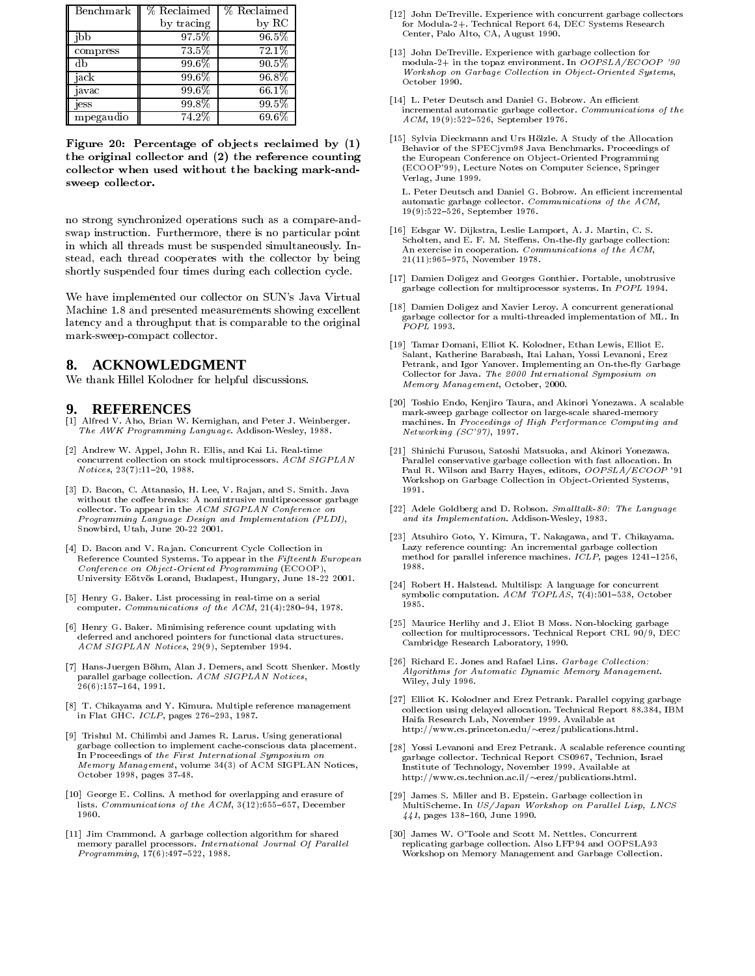| Benchmark | % Reclaimed | % Reclaimed |
|-----------|-------------|-------------|
|           | by tracing  | by RC       |
| ibb       | 97.5%       | $96.5\%$    |
| compress  | 73.5%       | 72.1%       |
| db        | 99.6%       | 90.5%       |
| jack      | 99.6%       | 96.8%       |
| javac     | 99.6%       | 66.1%       |
| jess      | $99.8\%$    | 99.5%       |
| mpegaudio | 74.2%       | 69.6%       |

Figure 20: Percentage of objects reclaimed by (1) the original collector and (2) the reference counting collector when used without the backing mark-andsweep collector.

no strong synchronized operations such as a compare-andswap instruction. Furthermore, there is no particular point in which all threads must be suspended simultaneously. Instead, each thread cooperates with the collector by being shortly suspended four times during each collection cycle.

We have implemented our collector on SUN's Java Virtual Machine 1.8 and presented measurements showing excellent latency and a throughput that is comparable to the original mark-sweep-compact collector.

# 8. ACKNOWLEDGMENT

We thank Hillel Kolodner for helpful discussions.

### **REFERENCES**

- [1] Alfred V. Aho, Brian W. Kernighan, and Peter J. Weinberger. The AWK Programming Language. Addison-Wesley, 1988.
- [2] Andrew W. Appel, John R. Ellis, and Kai Li. Real-time concurrent collection on stock multiprocessors.  $ACM$   $SIGPLAN$  $Notices, 23(7):11-20, 1988.$
- [3] D. Bacon, C. Attanasio, H. Lee, V. Rajan, and S. Smith. Java without the coffee breaks: A nonintrusive multiprocessor garbage collector. To appear in the ACM SIGPLAN Conference on Programming Language Design and Implementation (PLDI), Snowbird, Utah, June 20-22 2001.
- [4] D. Bacon and V. Rajan. Concurrent Cycle Collection in Reference Counted Systems. To appear in the Fifteenth European Conference on Object-Oriented Programming (ECOOP) University Eötvös Lorand, Budapest, Hungary, June 18-22 2001.
- [5] Henry G. Baker. List processing in real-time on a serial computer. Communications of the ACM, 21(4):280-94, 1978.
- [6] Henry G. Baker. Minimising reference count updating with deferred and anchored pointers for functional data structures. ACM SIGPLAN Notices, 29(9), September 1994.
- [7] Hans-Juergen Böhm, Alan J. Demers, and Scott Shenker. Mostly parallel garbage collection. ACM SIGPLAN Notices,  $26(6):157-164, 1991.$
- [8] T. Chikayama and Y. Kimura. Multiple reference management in Flat GHC. ICLP, pages 276-293, 1987.
- [9] Trishul M. Chilimbi and James R. Larus. Using generational garbage collection to implement cache-conscious data placement. In Proceedings of the First International Symposium on Memory Management, volume 34(3) of ACM SIGPLAN Notices, October 1998, pages 37-48.
- [10] George E. Collins. A method for overlapping and erasure of lists. Communications of the  $ACM$ ,  $3(12):655-657$ , December 1960.
- [11] Jim Crammond. A garbage collection algorithm for shared memory parallel processors. International Journal Of Parallel  $Programming, 17(6): 497-522, 1988.$
- [12] John DeTreville. Experience with concurrent garbage collectors for Modula-2+. Technical Report 64, DEC Systems Research Center, Palo Alto, CA, August 1990.
- [13] John DeTreville. Experience with garbage collection for modula 2+ in the topaz environment. In OOPSLA/ECOOP '90 Workshop on Garbage Collection in Object-Oriented Systems, October 1990.
- [14] L. Peter Deutsch and Daniel G. Bobrow. An efficient incremental automatic garbage collector. Communications of the  $ACM$ , 19(9):522-526, September 1976.
- [15] Sylvia Dieckmann and Urs Hölzle. A Study of the Allocation Behavior of the SPECjvm98 Java Benchmarks. Proceedings of the European Conference on Object-Oriented Programming (ECOOP'99), Lecture Notes on Computer Science, Springer Verlag, June 1999.

L. Peter Deutsch and Daniel G. Bobrow. An efficient incremental automatic garbage collector. Communications of the ACM, 19(9):522-526, September 1976.

- [16] Edsgar W. Dijkstra, Leslie Lamport, A. J. Martin, C. S. Scholten, and E. F. M. Steffens. On-the-fly garbage collection: An exercise in cooperation. Communications of the ACM, 21(11):965-975, November 1978.
- [17] Damien Doligez and Georges Gonthier. Portable, unobtrusive garbage collection for multiprocessor systems. In POPL 1994.
- [18] Damien Doligez and Xavier Leroy. A concurrent generational garbage collector for a multi-threaded implementation of ML. In  $POPL$  1993.
- [19] Tamar Domani, Elliot K. Kolodner, Ethan Lewis, Elliot E. Salant, Katherine Barabash, Itai Lahan, Yossi Levanoni, Erez Petrank, and Igor Yanover. Implementing an On-the-fly Garbage Collector for Java. The 2000 International Symposium on Memory Management, October, 2000.
- [20] Toshio Endo, Kenjiro Taura, and Akinori Yonezawa. A scalable mark-sweep garbage collector on large-scale shared-memory machines. In Proceedings of High Performance Computing and  $Networking$  (SC'97), 1997.
- [21] Shinichi Furusou, Satoshi Matsuoka, and Akinori Yonezawa. Parallel conservative garbage collection with fast allocation Paul R. Wilson and Barry Hayes, editors, OOPSLA/ECOOP '91 Workshop on Garbage Collection in Object-Oriented Systems, 1991.
- [22] Adele Goldberg and D. Robson. Smalltalk-80: The Language and its Implementation. Addison-Wesley, 1983.
- [23] Atsuhiro Goto, Y. Kimura, T. Nakagawa, and T. Chikayama. Lazy reference counting: An incremental garbage collection method for parallel inference machines. ICLP, pages 1241-1256, 1988.
- [24] Robert H. Halstead. Multilisp: A language for concurrent symbolic computation. ACM TOPLAS,  $7(4):501-538$ , October 1985.
- [25] Maurice Herlihy and J. Eliot B Moss. Non-blocking garbage collection for multiprocessors. Technical Report CRL 90/9, DEC Cambridge Research Laboratory, 1990.
- [26] Richard E. Jones and Rafael Lins. Garbage Collection: Algorithms for Automatic Dynamic Memory Management. Wiley, July 1996.
- [27] Elliot K. Kolodner and Erez Petrank. Parallel copying garbage collection using delayed allocation. Technical Report 88.384, IBM Haifa Research Lab, November 1999. Available at http://www.cs.princeton.edu/~erez/publications.html.
- [28] Yossi Levanoni and Erez Petrank. A scalable reference counting garbage collector. Technical Report CS0967, Technion, Israel Institute of Technology, November 1999. Available at http://www.cs.technion.ac.il/~erez/publications.html.
- [29] James S. Miller and B. Epstein. Garbage collection in MultiScheme. In US/Japan Workshop on Parallel Lisp, LNCS  $441$ , pages 138-160, June 1990.
- [30] James W. O'Toole and Scott M. Nettles. Concurrent replicating garbage collection. Also LFP94 and OOPSLA93 Workshop on Memory Management and Garbage Collection.